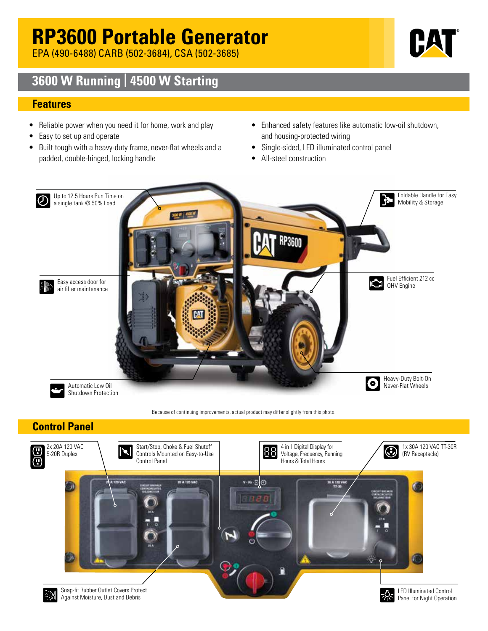# **RP3600 Portable Generator**

EPA (490-6488) CARB (502-3684), CSA (502-3685)



### **3600 W Running | 4500 W Starting**

#### **Features**

- Reliable power when you need it for home, work and play
- Easy to set up and operate
- Built tough with a heavy-duty frame, never-flat wheels and a padded, double-hinged, locking handle
- Enhanced safety features like automatic low-oil shutdown, and housing-protected wiring
- Single-sided, LED illuminated control panel
- All-steel construction



### **Control Panel**